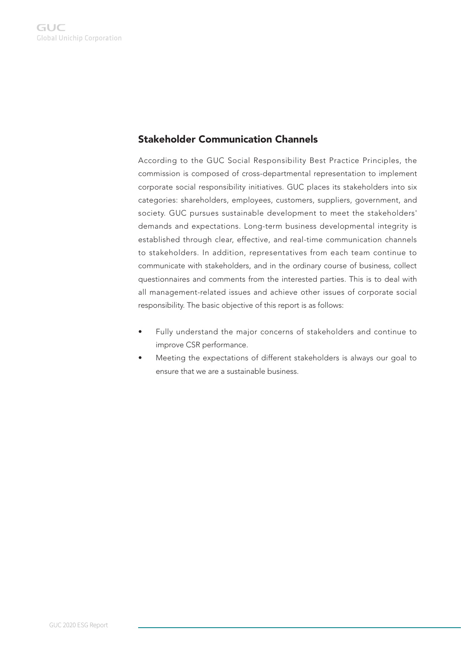## Stakeholder Communication Channels

According to the GUC Social Responsibility Best Practice Principles, the commission is composed of cross-departmental representation to implement corporate social responsibility initiatives. GUC places its stakeholders into six categories: shareholders, employees, customers, suppliers, government, and society. GUC pursues sustainable development to meet the stakeholders' demands and expectations. Long-term business developmental integrity is established through clear, effective, and real-time communication channels to stakeholders. In addition, representatives from each team continue to communicate with stakeholders, and in the ordinary course of business, collect questionnaires and comments from the interested parties. This is to deal with all management-related issues and achieve other issues of corporate social responsibility. The basic objective of this report is as follows:

- Fully understand the major concerns of stakeholders and continue to improve CSR performance.
- Meeting the expectations of different stakeholders is always our goal to ensure that we are a sustainable business.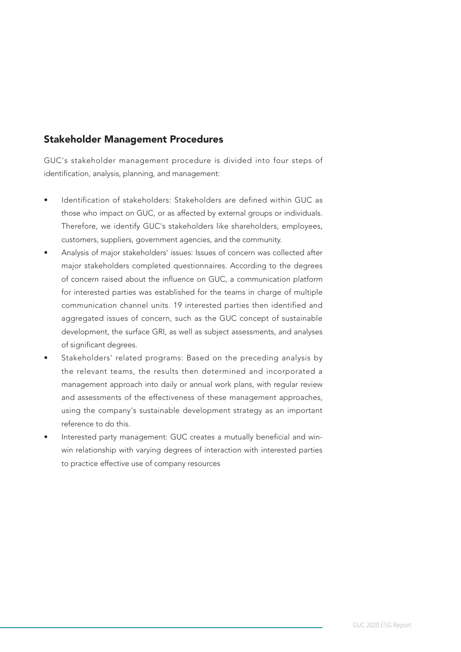## Stakeholder Management Procedures

GUC's stakeholder management procedure is divided into four steps of identification, analysis, planning, and management:

- Identification of stakeholders: Stakeholders are defined within GUC as those who impact on GUC, or as affected by external groups or individuals. Therefore, we identify GUC's stakeholders like shareholders, employees, customers, suppliers, government agencies, and the community.
- Analysis of major stakeholders' issues: Issues of concern was collected after major stakeholders completed questionnaires. According to the degrees of concern raised about the influence on GUC, a communication platform for interested parties was established for the teams in charge of multiple communication channel units. 19 interested parties then identified and aggregated issues of concern, such as the GUC concept of sustainable development, the surface GRI, as well as subject assessments, and analyses of significant degrees.
- Stakeholders' related programs: Based on the preceding analysis by the relevant teams, the results then determined and incorporated a management approach into daily or annual work plans, with regular review and assessments of the effectiveness of these management approaches, using the company's sustainable development strategy as an important reference to do this.
- Interested party management: GUC creates a mutually beneficial and winwin relationship with varying degrees of interaction with interested parties to practice effective use of company resources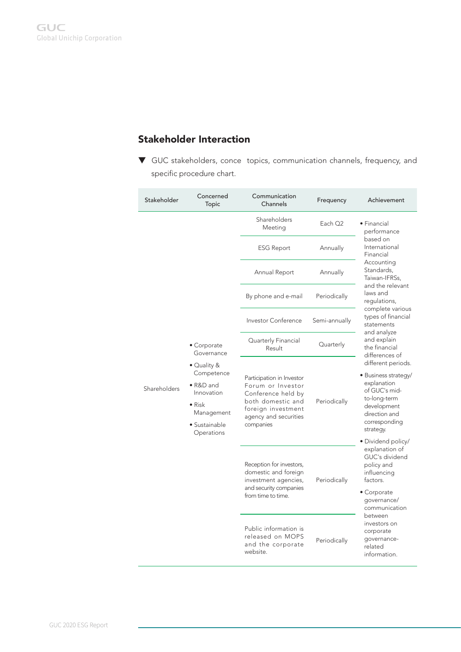## Stakeholder Interaction

 $\nabla$  GUC stakeholders, conce topics, communication channels, frequency, and specific procedure chart.

| Stakeholder  | Concerned<br>Topic                                                    | Communication<br>Channels                                                                                                                | Frequency           | Achievement                                                                                                           |
|--------------|-----------------------------------------------------------------------|------------------------------------------------------------------------------------------------------------------------------------------|---------------------|-----------------------------------------------------------------------------------------------------------------------|
|              |                                                                       | Shareholders<br>Meeting                                                                                                                  | Each O <sub>2</sub> | • Financial<br>performance                                                                                            |
|              |                                                                       | <b>ESG Report</b>                                                                                                                        | Annually            | based on<br>International<br>Financial                                                                                |
|              |                                                                       | Annual Report                                                                                                                            | Annually            | Accounting<br>Standards.<br>Taiwan-IFRSs,                                                                             |
|              |                                                                       | By phone and e-mail                                                                                                                      | Periodically        | and the relevant<br>laws and<br>regulations,                                                                          |
|              |                                                                       | Investor Conference                                                                                                                      | Semi-annually       | complete various<br>types of financial<br>statements                                                                  |
|              | • Corporate<br>Governance                                             | Quarterly Financial<br>Result                                                                                                            | Quarterly           | and analyze<br>and explain<br>the financial<br>differences of                                                         |
|              | • Quality &                                                           |                                                                                                                                          |                     | different periods.                                                                                                    |
| Shareholders | Competence<br>• R&D and<br>Innovation<br>$\bullet$ Risk<br>Management | Participation in Investor<br>Forum or Investor<br>Conference held by<br>both domestic and<br>foreign investment<br>agency and securities | Periodically        | • Business strategy/<br>explanation<br>of GUC's mid-<br>to-long-term<br>development<br>direction and<br>corresponding |
|              | • Sustainable<br>Operations                                           | companies                                                                                                                                |                     | strategy.                                                                                                             |
|              |                                                                       | Reception for investors,<br>domestic and foreign<br>investment agencies,<br>and security companies                                       | Periodically        | • Dividend policy/<br>explanation of<br>GUC's dividend<br>policy and<br>influencing<br>factors.                       |
|              |                                                                       | from time to time.                                                                                                                       |                     | • Corporate<br>qovernance/<br>communication                                                                           |
|              |                                                                       | Public information is<br>released on MOPS<br>and the corporate<br>website.                                                               | Periodically        | between<br>investors on<br>corporate<br>qovernance-<br>related<br>information.                                        |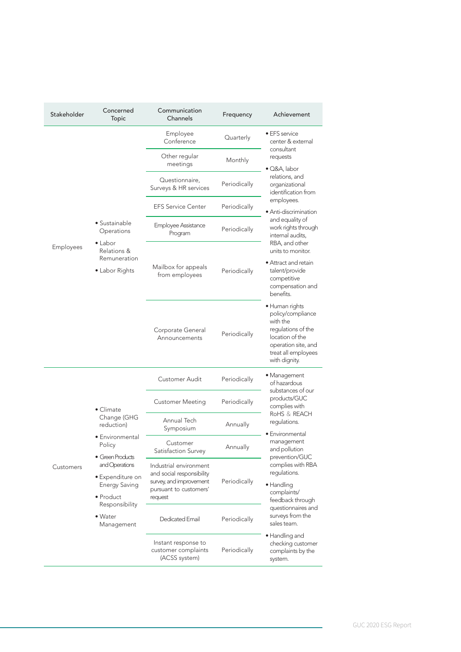| Stakeholder | Concerned<br><b>Topic</b>                                          | Communication<br>Channels                                                                                | Frequency    | Achievement                                                                                                                                                     |
|-------------|--------------------------------------------------------------------|----------------------------------------------------------------------------------------------------------|--------------|-----------------------------------------------------------------------------------------------------------------------------------------------------------------|
|             |                                                                    | Employee<br>Conference                                                                                   | Quarterly    | • EFS service<br>center & external                                                                                                                              |
|             |                                                                    | Other regular<br>meetings                                                                                | Monthly      | consultant<br>requests<br>● Q&A, labor                                                                                                                          |
|             |                                                                    | Questionnaire,<br>Surveys & HR services                                                                  | Periodically | relations, and<br>organizational<br>identification from                                                                                                         |
|             |                                                                    | <b>EFS Service Center</b>                                                                                | Periodically | employees.<br>$\bullet$ Anti-discrimination                                                                                                                     |
|             | • Sustainable<br>Operations<br>$\bullet$ Labor                     | <b>Employee Assistance</b><br>Program                                                                    | Periodically | and equality of<br>work rights through<br>internal audits,<br>RBA, and other                                                                                    |
| Employees   | Relations &<br>Remuneration<br>• Labor Rights                      | Mailbox for appeals<br>from employees                                                                    | Periodically | units to monitor.<br>• Attract and retain<br>talent/provide<br>competitive<br>compensation and<br>benefits.                                                     |
|             |                                                                    | Corporate General<br>Announcements                                                                       | Periodically | $\bullet$ Human rights<br>policy/compliance<br>with the<br>regulations of the<br>location of the<br>operation site, and<br>treat all employees<br>with dignity. |
|             |                                                                    | Customer Audit                                                                                           | Periodically | • Management<br>of hazardous                                                                                                                                    |
|             | • Climate                                                          | Customer Meeting                                                                                         | Periodically | substances of our<br>products/GUC<br>complies with                                                                                                              |
|             | Change (GHG<br>reduction)                                          | Annual Tech<br>Symposium                                                                                 | Annually     | RoHS & REACH<br>regulations.<br>$\bullet$ Environmental                                                                                                         |
|             | • Environmental<br>Policy<br>• Green Products                      | Customer<br>Satisfaction Survey                                                                          | Annually     | management<br>and pollution<br>prevention/GUC                                                                                                                   |
| Customers   | and Operations<br>$\bullet$ Expenditure on<br><b>Energy Saving</b> | Industrial environment<br>and social responsibility<br>survey, and improvement<br>pursuant to customers' | Periodically | complies with RBA<br>regulations.<br>$\bullet$ Handling<br>complaints/                                                                                          |
|             | • Product<br>Responsibility<br>$\bullet$ Water<br>Management       | request<br>Dedicated Email                                                                               | Periodically | feedback through<br>questionnaires and<br>surveys from the<br>sales team.                                                                                       |
|             |                                                                    | Instant response to<br>customer complaints<br>(ACSS system)                                              | Periodically | · Handling and<br>checking customer<br>complaints by the<br>system.                                                                                             |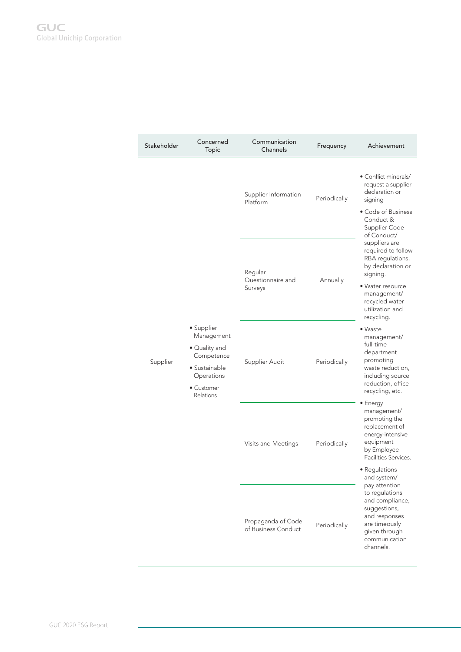| Stakeholder | Concerned<br>Topic                                                                                                | Communication<br>Channels                 | Frequency    | Achievement                                                                                                                                                                    |
|-------------|-------------------------------------------------------------------------------------------------------------------|-------------------------------------------|--------------|--------------------------------------------------------------------------------------------------------------------------------------------------------------------------------|
|             |                                                                                                                   | Supplier Information<br>Platform          | Periodically | • Conflict minerals/<br>request a supplier<br>declaration or<br>signing<br>• Code of Business<br>Conduct &<br>Supplier Code<br>of Conduct/                                     |
|             |                                                                                                                   | Regular<br>Questionnaire and<br>Surveys   | Annually     | suppliers are<br>required to follow<br>RBA regulations,<br>by declaration or<br>signing.<br>• Water resource<br>management/<br>recycled water<br>utilization and<br>recycling. |
| Supplier    | · Supplier<br>Management<br>• Quality and<br>Competence<br>• Sustainable<br>Operations<br>• Customer<br>Relations | Supplier Audit                            | Periodically | • Waste<br>management/<br>full-time<br>department<br>promoting<br>waste reduction,<br>including source<br>reduction, office<br>recycling, etc.                                 |
|             |                                                                                                                   | Visits and Meetings                       | Periodically | $\bullet$ Energy<br>management/<br>promoting the<br>replacement of<br>energy-intensive<br>equipment<br>by Employee<br>Facilities Services.<br>• Regulations<br>and system/     |
|             |                                                                                                                   | Propaganda of Code<br>of Business Conduct | Periodically | pay attention<br>to regulations<br>and compliance,<br>suggestions,<br>and responses<br>are timeously<br>given through<br>communication<br>channels.                            |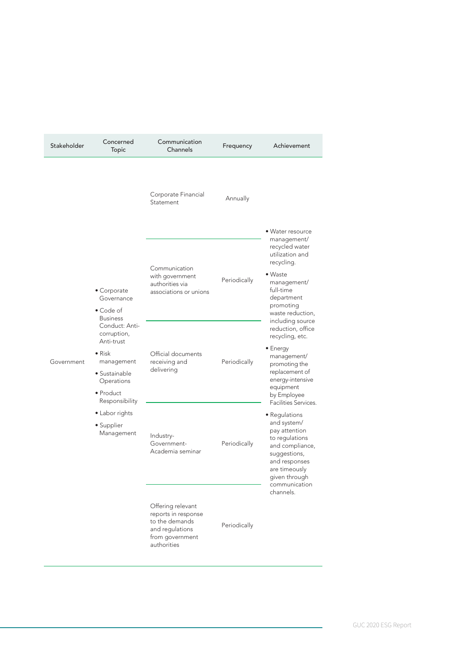| Stakeholder | Concerned<br><b>Topic</b>                                                                                                                         | Communication<br>Channels                                                                                       | Frequency    | Achievement                                                                                                                                                                                    |
|-------------|---------------------------------------------------------------------------------------------------------------------------------------------------|-----------------------------------------------------------------------------------------------------------------|--------------|------------------------------------------------------------------------------------------------------------------------------------------------------------------------------------------------|
|             |                                                                                                                                                   | Corporate Financial<br>Statement                                                                                | Annually     | • Water resource                                                                                                                                                                               |
|             | • Corporate<br>Governance<br>• Code of<br><b>Business</b>                                                                                         | Communication<br>with government<br>authorities via<br>associations or unions                                   | Periodically | management/<br>recycled water<br>utilization and<br>recycling.<br>• Waste<br>management/<br>full-time<br>department<br>promoting<br>waste reduction,                                           |
| Government  | Conduct: Anti-<br>corruption,<br>Anti-trust<br>$\bullet$ Risk<br>management<br>$\bullet$ Sustainable<br>Operations<br>• Product<br>Responsibility | Official documents<br>receiving and<br>delivering                                                               | Periodically | including source<br>reduction, office<br>recycling, etc.<br>$\bullet$ Energy<br>management/<br>promoting the<br>replacement of<br>energy-intensive<br>equipment<br>by Employee                 |
|             | • Labor rights<br>• Supplier<br>Management                                                                                                        | Industry-<br>Government-<br>Academia seminar                                                                    | Periodically | Facilities Services.<br>• Regulations<br>and system/<br>pay attention<br>to regulations<br>and compliance,<br>suggestions,<br>and responses<br>are timeously<br>given through<br>communication |
|             |                                                                                                                                                   | Offering relevant<br>reports in response<br>to the demands<br>and regulations<br>from government<br>authorities | Periodically | channels.                                                                                                                                                                                      |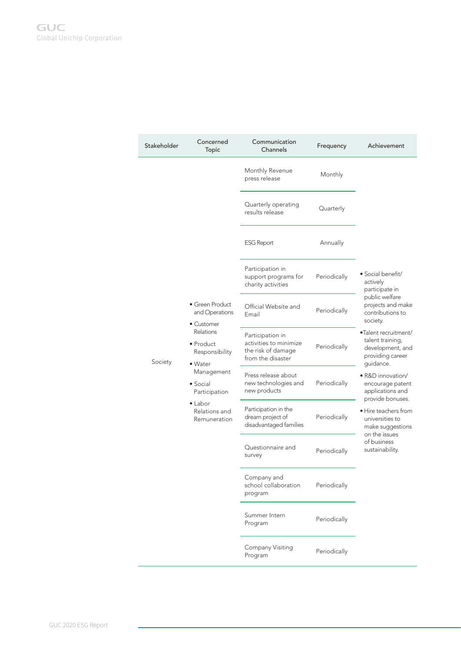| Stakeholder | Concerned<br>Topic                                      | Communication<br>Channels                                                             | Frequency    | Achievement                                                                                   |
|-------------|---------------------------------------------------------|---------------------------------------------------------------------------------------|--------------|-----------------------------------------------------------------------------------------------|
|             |                                                         | Monthly Revenue<br>press release                                                      | Monthly      |                                                                                               |
|             |                                                         | Quarterly operating<br>results release                                                | Quarterly    |                                                                                               |
|             |                                                         | <b>ESG Report</b>                                                                     | Annually     |                                                                                               |
|             |                                                         | Participation in<br>support programs for<br>charity activities                        | Periodically | • Social benefit/<br>actively<br>participate in                                               |
|             | • Green Product<br>and Operations<br>$\bullet$ Customer | Official Website and<br>Email                                                         | Periodically | public welfare<br>projects and make<br>contributions to<br>society.                           |
| Society     | Relations<br>• Product<br>Responsibility<br>• Water     | Participation in<br>activities to minimize<br>the risk of damage<br>from the disaster | Periodically | •Talent recruitment/<br>talent training,<br>development, and<br>providing career<br>guidance. |
|             | Management<br>$\bullet$ Social<br>Participation         | Press release about<br>new technologies and<br>new products                           | Periodically | • R&D innovation/<br>encourage patent<br>applications and<br>provide bonuses.                 |
|             | $\bullet$ Labor<br>Relations and<br>Remuneration        | Participation in the<br>dream project of<br>disadvantaged families                    | Periodically | • Hire teachers from<br>universities to<br>make suggestions<br>on the issues                  |
|             |                                                         | Questionnaire and<br>survey                                                           | Periodically | of business<br>sustainability.                                                                |
|             |                                                         | Company and<br>school collaboration<br>program                                        | Periodically |                                                                                               |
|             |                                                         | Summer Intern<br>Program                                                              | Periodically |                                                                                               |
|             |                                                         | Company Visiting<br>Program                                                           | Periodically |                                                                                               |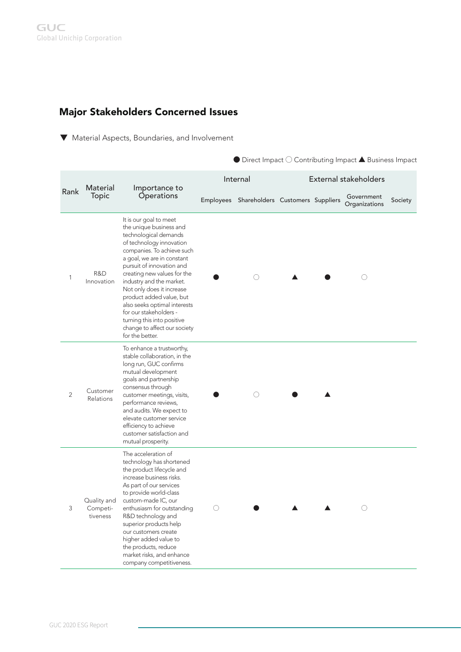# Major Stakeholders Concerned Issues

 $\nabla$  Material Aspects, Boundaries, and Involvement

 $\bullet$  Direct Impact  $\bigcirc$  Contributing Impact  $\blacktriangle$  Business Impact

|                | Material                            |                                                                                                                                                                                                                                                                                                                                                                                                                                                                |            | Internal                                   |  | External stakeholders       |         |
|----------------|-------------------------------------|----------------------------------------------------------------------------------------------------------------------------------------------------------------------------------------------------------------------------------------------------------------------------------------------------------------------------------------------------------------------------------------------------------------------------------------------------------------|------------|--------------------------------------------|--|-----------------------------|---------|
| Rank           | Topic                               | Importance to<br><b>Operations</b>                                                                                                                                                                                                                                                                                                                                                                                                                             |            | Employees Shareholders Customers Suppliers |  | Government<br>Organizations | Society |
| 1              | R&D<br>Innovation                   | It is our goal to meet<br>the unique business and<br>technological demands<br>of technology innovation<br>companies. To achieve such<br>a goal, we are in constant<br>pursuit of innovation and<br>creating new values for the<br>industry and the market.<br>Not only does it increase<br>product added value, but<br>also seeks optimal interests<br>for our stakeholders -<br>turning this into positive<br>change to affect our society<br>for the better. |            | $\left(\right)$                            |  | ( )                         |         |
| $\overline{2}$ | Customer<br>Relations               | To enhance a trustworthy,<br>stable collaboration, in the<br>long run, GUC confirms<br>mutual development<br>goals and partnership<br>consensus through<br>customer meetings, visits,<br>performance reviews,<br>and audits. We expect to<br>elevate customer service<br>efficiency to achieve<br>customer satisfaction and<br>mutual prosperity.                                                                                                              |            | ( )                                        |  |                             |         |
| 3              | Quality and<br>Competi-<br>tiveness | The acceleration of<br>technology has shortened<br>the product lifecycle and<br>increase business risks.<br>As part of our services<br>to provide world-class<br>custom-made IC, our<br>enthusiasm for outstanding<br>R&D technology and<br>superior products help<br>our customers create<br>higher added value to<br>the products, reduce<br>market risks, and enhance<br>company competitiveness.                                                           | $\bigcirc$ |                                            |  | ◯                           |         |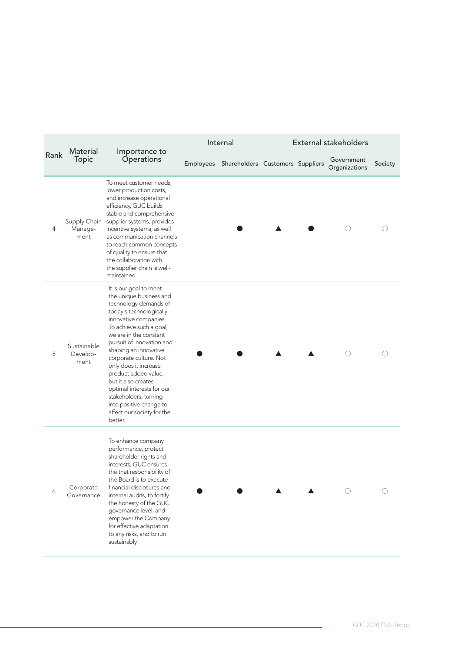|      |                                 |                                                                                                                                                                                                                                                                                                                                                                                                                                                                       | Internal                                   |  | External stakeholders       |         |
|------|---------------------------------|-----------------------------------------------------------------------------------------------------------------------------------------------------------------------------------------------------------------------------------------------------------------------------------------------------------------------------------------------------------------------------------------------------------------------------------------------------------------------|--------------------------------------------|--|-----------------------------|---------|
| Rank | Material<br>Topic               | Importance to<br>Operations                                                                                                                                                                                                                                                                                                                                                                                                                                           | Employees Shareholders Customers Suppliers |  | Government<br>Organizations | Society |
| 4    | Manage-<br>ment                 | To meet customer needs,<br>lower production costs,<br>and increase operational<br>efficiency, GUC builds<br>stable and comprehensive<br>Supply Chain supplier systems, provides<br>incentive systems, as well<br>as communication channels<br>to reach common concepts<br>of quality to ensure that<br>the collaboration with<br>the supplier chain is well-<br>maintained.                                                                                           |                                            |  |                             |         |
| 5    | Sustainable<br>Develop-<br>ment | It is our goal to meet<br>the unique business and<br>technology demands of<br>today's technologically<br>innovative companies.<br>To achieve such a goal,<br>we are in the constant<br>pursuit of innovation and<br>shaping an innovative<br>corporate culture. Not<br>only does it increase<br>product added value,<br>but it also creates<br>optimal interests for our<br>stakeholders, turning<br>into positive change to<br>affect our society for the<br>better. |                                            |  |                             |         |
| 6    | Corporate<br>Governance         | To enhance company<br>performance, protect<br>shareholder rights and<br>interests, GUC ensures<br>the that responsibility of<br>the Board is to execute<br>financial disclosures and<br>internal audits, to fortify<br>the honesty of the GUC<br>governance level, and<br>empower the Company<br>for effective adaptation<br>to any risks, and to run<br>sustainably.                                                                                                 |                                            |  |                             |         |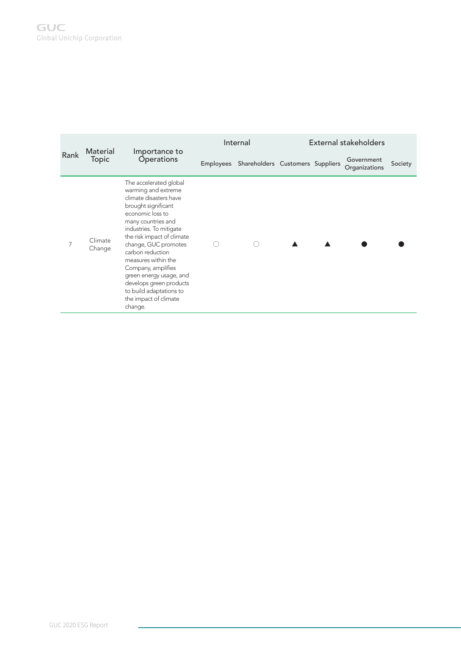|      | Material          | Importance to                                                                                                                                                                                                                                                                                                                                                                                                   |                  | Internal                         |  | External stakeholders       |         |
|------|-------------------|-----------------------------------------------------------------------------------------------------------------------------------------------------------------------------------------------------------------------------------------------------------------------------------------------------------------------------------------------------------------------------------------------------------------|------------------|----------------------------------|--|-----------------------------|---------|
| Rank | Topic             | <b>Operations</b>                                                                                                                                                                                                                                                                                                                                                                                               | <b>Employees</b> | Shareholders Customers Suppliers |  | Government<br>Organizations | Society |
|      | Climate<br>Change | The accelerated global<br>warming and extreme<br>climate disasters have<br>brought significant<br>economic loss to<br>many countries and<br>industries. To mitigate<br>the risk impact of climate<br>change, GUC promotes<br>carbon reduction<br>measures within the<br>Company, amplifies<br>green energy usage, and<br>develops green products<br>to build adaptations to<br>the impact of climate<br>change. |                  |                                  |  |                             |         |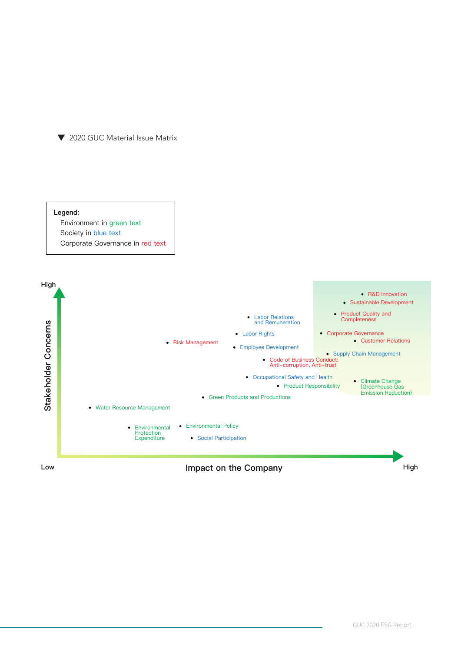

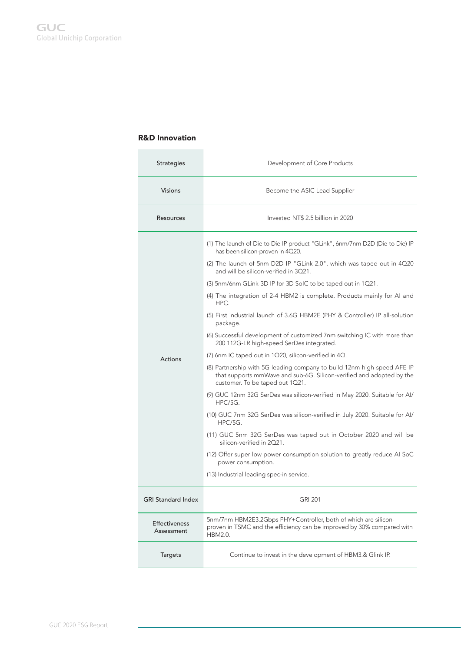### R&D Innovation

| <b>Strategies</b>                  | Development of Core Products                                                                                                                                                                                                                                                                                                                                                                                                                                                                                                                                                                                                                                                                                                                                                                                                                                                                                                                                                                                                                                                                                                                                                                                                                                                                 |
|------------------------------------|----------------------------------------------------------------------------------------------------------------------------------------------------------------------------------------------------------------------------------------------------------------------------------------------------------------------------------------------------------------------------------------------------------------------------------------------------------------------------------------------------------------------------------------------------------------------------------------------------------------------------------------------------------------------------------------------------------------------------------------------------------------------------------------------------------------------------------------------------------------------------------------------------------------------------------------------------------------------------------------------------------------------------------------------------------------------------------------------------------------------------------------------------------------------------------------------------------------------------------------------------------------------------------------------|
| <b>Visions</b>                     | Become the ASIC Lead Supplier                                                                                                                                                                                                                                                                                                                                                                                                                                                                                                                                                                                                                                                                                                                                                                                                                                                                                                                                                                                                                                                                                                                                                                                                                                                                |
| Resources                          | Invested NT\$ 2.5 billion in 2020                                                                                                                                                                                                                                                                                                                                                                                                                                                                                                                                                                                                                                                                                                                                                                                                                                                                                                                                                                                                                                                                                                                                                                                                                                                            |
| Actions                            | (1) The launch of Die to Die IP product "GLink", 6nm/7nm D2D (Die to Die) IP<br>has been silicon-proven in 4Q20.<br>(2) The launch of 5nm D2D IP "GLink 2.0", which was taped out in 4Q20<br>and will be silicon-verified in 3Q21.<br>(3) 5nm/6nm GLink-3D IP for 3D SoIC to be taped out in 1Q21.<br>(4) The integration of 2-4 HBM2 is complete. Products mainly for AI and<br>HPC.<br>(5) First industrial launch of 3.6G HBM2E (PHY & Controller) IP all-solution<br>package.<br>(6) Successful development of customized 7nm switching IC with more than<br>200 112G-LR high-speed SerDes integrated.<br>(7) 6nm IC taped out in 1Q20, silicon-verified in 4Q.<br>(8) Partnership with 5G leading company to build 12nm high-speed AFE IP<br>that supports mmWave and sub-6G. Silicon-verified and adopted by the<br>customer. To be taped out 1Q21.<br>(9) GUC 12nm 32G SerDes was silicon-verified in May 2020. Suitable for Al/<br>HPC/5G.<br>(10) GUC 7nm 32G SerDes was silicon-verified in July 2020. Suitable for AI/<br>HPC/5G.<br>(11) GUC 5nm 32G SerDes was taped out in October 2020 and will be<br>silicon-verified in 2021.<br>(12) Offer super low power consumption solution to greatly reduce AI SoC<br>power consumption.<br>(13) Industrial leading spec-in service. |
| <b>GRI Standard Index</b>          | <b>GRI 201</b>                                                                                                                                                                                                                                                                                                                                                                                                                                                                                                                                                                                                                                                                                                                                                                                                                                                                                                                                                                                                                                                                                                                                                                                                                                                                               |
| <b>Effectiveness</b><br>Assessment | 5nm/7nm HBM2E3.2Gbps PHY+Controller, both of which are silicon-<br>proven in TSMC and the efficiency can be improved by 30% compared with<br>HBM2.0.                                                                                                                                                                                                                                                                                                                                                                                                                                                                                                                                                                                                                                                                                                                                                                                                                                                                                                                                                                                                                                                                                                                                         |
| <b>Targets</b>                     | Continue to invest in the development of HBM3.& Glink IP.                                                                                                                                                                                                                                                                                                                                                                                                                                                                                                                                                                                                                                                                                                                                                                                                                                                                                                                                                                                                                                                                                                                                                                                                                                    |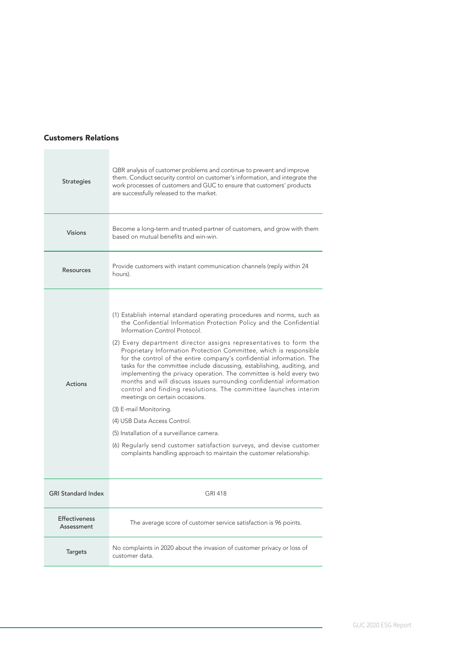#### Customers Relations

| <b>Strategies</b>                  | QBR analysis of customer problems and continue to prevent and improve<br>them. Conduct security control on customer's information, and integrate the<br>work processes of customers and GUC to ensure that customers' products<br>are successfully released to the market.                                                                                                                                                                                                                                                                                                                                                                                                                                                                                                                                                                                                                                                                                                                |
|------------------------------------|-------------------------------------------------------------------------------------------------------------------------------------------------------------------------------------------------------------------------------------------------------------------------------------------------------------------------------------------------------------------------------------------------------------------------------------------------------------------------------------------------------------------------------------------------------------------------------------------------------------------------------------------------------------------------------------------------------------------------------------------------------------------------------------------------------------------------------------------------------------------------------------------------------------------------------------------------------------------------------------------|
| <b>Visions</b>                     | Become a long-term and trusted partner of customers, and grow with them<br>based on mutual benefits and win-win.                                                                                                                                                                                                                                                                                                                                                                                                                                                                                                                                                                                                                                                                                                                                                                                                                                                                          |
| Resources                          | Provide customers with instant communication channels (reply within 24<br>hours).                                                                                                                                                                                                                                                                                                                                                                                                                                                                                                                                                                                                                                                                                                                                                                                                                                                                                                         |
| Actions                            | (1) Establish internal standard operating procedures and norms, such as<br>the Confidential Information Protection Policy and the Confidential<br>Information Control Protocol.<br>(2) Every department director assigns representatives to form the<br>Proprietary Information Protection Committee, which is responsible<br>for the control of the entire company's confidential information. The<br>tasks for the committee include discussing, establishing, auditing, and<br>implementing the privacy operation. The committee is held every two<br>months and will discuss issues surrounding confidential information<br>control and finding resolutions. The committee launches interim<br>meetings on certain occasions.<br>(3) E-mail Monitoring.<br>(4) USB Data Access Control.<br>(5) Installation of a surveillance camera.<br>(6) Regularly send customer satisfaction surveys, and devise customer<br>complaints handling approach to maintain the customer relationship. |
| <b>GRI Standard Index</b>          | <b>GRI 418</b>                                                                                                                                                                                                                                                                                                                                                                                                                                                                                                                                                                                                                                                                                                                                                                                                                                                                                                                                                                            |
| <b>Effectiveness</b><br>Assessment | The average score of customer service satisfaction is 96 points.                                                                                                                                                                                                                                                                                                                                                                                                                                                                                                                                                                                                                                                                                                                                                                                                                                                                                                                          |
| <b>Targets</b>                     | No complaints in 2020 about the invasion of customer privacy or loss of<br>customer data.                                                                                                                                                                                                                                                                                                                                                                                                                                                                                                                                                                                                                                                                                                                                                                                                                                                                                                 |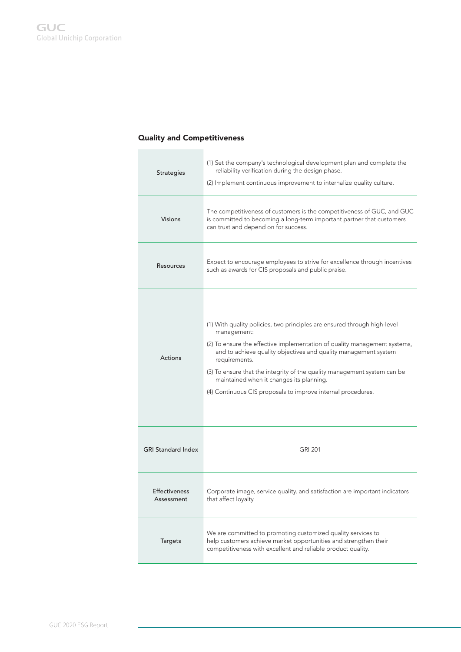### Quality and Competitiveness

| <b>Strategies</b>         | (1) Set the company's technological development plan and complete the<br>reliability verification during the design phase.<br>(2) Implement continuous improvement to internalize quality culture. |
|---------------------------|----------------------------------------------------------------------------------------------------------------------------------------------------------------------------------------------------|
| <b>Visions</b>            | The competitiveness of customers is the competitiveness of GUC, and GUC<br>is committed to becoming a long-term important partner that customers                                                   |
|                           | can trust and depend on for success.                                                                                                                                                               |
| Resources                 | Expect to encourage employees to strive for excellence through incentives<br>such as awards for CIS proposals and public praise.                                                                   |
|                           |                                                                                                                                                                                                    |
|                           | (1) With quality policies, two principles are ensured through high-level<br>management:                                                                                                            |
| <b>Actions</b>            | (2) To ensure the effective implementation of quality management systems,<br>and to achieve quality objectives and quality management system<br>requirements.                                      |
|                           | (3) To ensure that the integrity of the quality management system can be<br>maintained when it changes its planning.                                                                               |
|                           | (4) Continuous CIS proposals to improve internal procedures.                                                                                                                                       |
|                           |                                                                                                                                                                                                    |
| <b>GRI Standard Index</b> |                                                                                                                                                                                                    |
|                           | <b>GRI 201</b>                                                                                                                                                                                     |
| <b>Effectiveness</b>      | Corporate image, service quality, and satisfaction are important indicators                                                                                                                        |
| Assessment                | that affect loyalty.                                                                                                                                                                               |
| <b>Targets</b>            | We are committed to promoting customized quality services to<br>help customers achieve market opportunities and strengthen their<br>competitiveness with excellent and reliable product quality.   |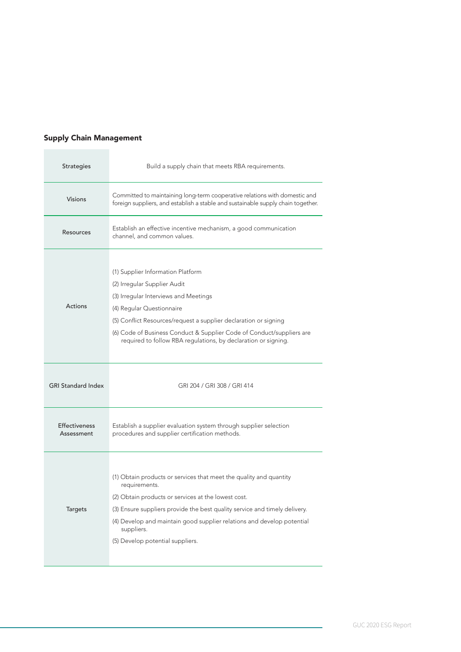## Supply Chain Management

| <b>Strategies</b>                  | Build a supply chain that meets RBA requirements.                                                                                                                                                                                                                                                                                                      |
|------------------------------------|--------------------------------------------------------------------------------------------------------------------------------------------------------------------------------------------------------------------------------------------------------------------------------------------------------------------------------------------------------|
| <b>Visions</b>                     | Committed to maintaining long-term cooperative relations with domestic and<br>foreign suppliers, and establish a stable and sustainable supply chain together.                                                                                                                                                                                         |
| <b>Resources</b>                   | Establish an effective incentive mechanism, a good communication<br>channel, and common values.                                                                                                                                                                                                                                                        |
| <b>Actions</b>                     | (1) Supplier Information Platform<br>(2) Irregular Supplier Audit<br>(3) Irregular Interviews and Meetings<br>(4) Regular Questionnaire<br>(5) Conflict Resources/request a supplier declaration or signing<br>(6) Code of Business Conduct & Supplier Code of Conduct/suppliers are<br>required to follow RBA regulations, by declaration or signing. |
|                                    |                                                                                                                                                                                                                                                                                                                                                        |
| <b>GRI Standard Index</b>          | GRI 204 / GRI 308 / GRI 414                                                                                                                                                                                                                                                                                                                            |
| <b>Effectiveness</b><br>Assessment | Establish a supplier evaluation system through supplier selection<br>procedures and supplier certification methods.                                                                                                                                                                                                                                    |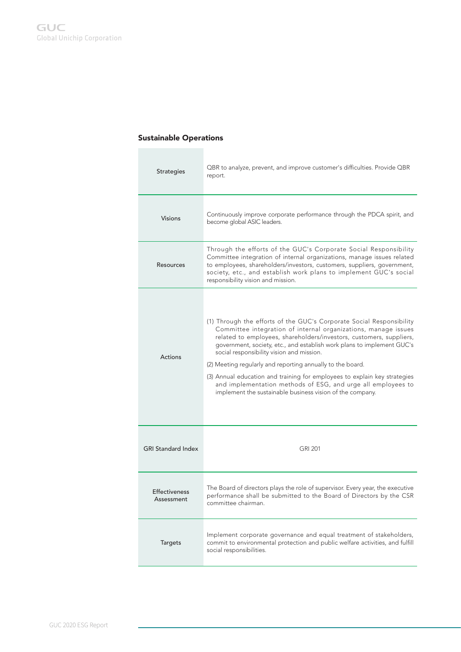### Sustainable Operations

| <b>Strategies</b>                  | QBR to analyze, prevent, and improve customer's difficulties. Provide QBR<br>report.                                                                                                                                                                                                                                                                                                                                                                                                                                                                                                                         |
|------------------------------------|--------------------------------------------------------------------------------------------------------------------------------------------------------------------------------------------------------------------------------------------------------------------------------------------------------------------------------------------------------------------------------------------------------------------------------------------------------------------------------------------------------------------------------------------------------------------------------------------------------------|
| <b>Visions</b>                     | Continuously improve corporate performance through the PDCA spirit, and<br>become global ASIC leaders.                                                                                                                                                                                                                                                                                                                                                                                                                                                                                                       |
| Resources                          | Through the efforts of the GUC's Corporate Social Responsibility<br>Committee integration of internal organizations, manage issues related<br>to employees, shareholders/investors, customers, suppliers, government,<br>society, etc., and establish work plans to implement GUC's social<br>responsibility vision and mission.                                                                                                                                                                                                                                                                             |
| <b>Actions</b>                     | (1) Through the efforts of the GUC's Corporate Social Responsibility<br>Committee integration of internal organizations, manage issues<br>related to employees, shareholders/investors, customers, suppliers,<br>government, society, etc., and establish work plans to implement GUC's<br>social responsibility vision and mission.<br>(2) Meeting regularly and reporting annually to the board.<br>(3) Annual education and training for employees to explain key strategies<br>and implementation methods of ESG, and urge all employees to<br>implement the sustainable business vision of the company. |
| <b>GRI Standard Index</b>          | <b>GRI 201</b>                                                                                                                                                                                                                                                                                                                                                                                                                                                                                                                                                                                               |
| <b>Effectiveness</b><br>Assessment | The Board of directors plays the role of supervisor. Every year, the executive<br>performance shall be submitted to the Board of Directors by the CSR<br>committee chairman.                                                                                                                                                                                                                                                                                                                                                                                                                                 |
| <b>Targets</b>                     | Implement corporate governance and equal treatment of stakeholders,<br>commit to environmental protection and public welfare activities, and fulfill<br>social responsibilities.                                                                                                                                                                                                                                                                                                                                                                                                                             |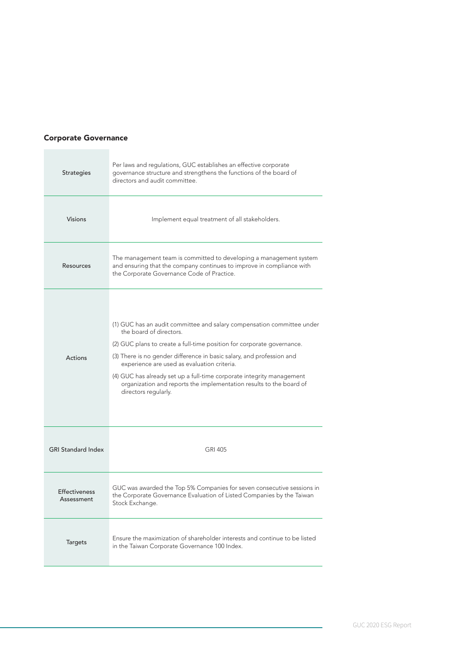### Corporate Governance

| <b>Strategies</b>                  | Per laws and regulations, GUC establishes an effective corporate<br>governance structure and strengthens the functions of the board of<br>directors and audit committee.                                                                                                                                                                                                                                                                                                    |
|------------------------------------|-----------------------------------------------------------------------------------------------------------------------------------------------------------------------------------------------------------------------------------------------------------------------------------------------------------------------------------------------------------------------------------------------------------------------------------------------------------------------------|
| <b>Visions</b>                     | Implement equal treatment of all stakeholders.                                                                                                                                                                                                                                                                                                                                                                                                                              |
| Resources                          | The management team is committed to developing a management system<br>and ensuring that the company continues to improve in compliance with<br>the Corporate Governance Code of Practice.                                                                                                                                                                                                                                                                                   |
| Actions                            | (1) GUC has an audit committee and salary compensation committee under<br>the board of directors.<br>(2) GUC plans to create a full-time position for corporate governance.<br>(3) There is no gender difference in basic salary, and profession and<br>experience are used as evaluation criteria.<br>(4) GUC has already set up a full-time corporate integrity management<br>organization and reports the implementation results to the board of<br>directors regularly. |
| <b>GRI Standard Index</b>          | <b>GRI 405</b>                                                                                                                                                                                                                                                                                                                                                                                                                                                              |
| <b>Effectiveness</b><br>Assessment | GUC was awarded the Top 5% Companies for seven consecutive sessions in<br>the Corporate Governance Evaluation of Listed Companies by the Taiwan<br>Stock Exchange.                                                                                                                                                                                                                                                                                                          |
| <b>Targets</b>                     | Ensure the maximization of shareholder interests and continue to be listed<br>in the Taiwan Corporate Governance 100 Index.                                                                                                                                                                                                                                                                                                                                                 |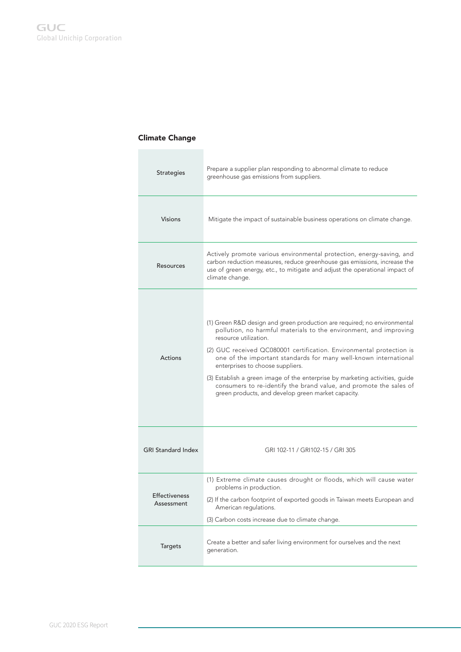### Climate Change

| <b>Strategies</b>                  | Prepare a supplier plan responding to abnormal climate to reduce<br>greenhouse gas emissions from suppliers.                                                                                                                                                                                                                                                                                                                                                                                                                                                       |
|------------------------------------|--------------------------------------------------------------------------------------------------------------------------------------------------------------------------------------------------------------------------------------------------------------------------------------------------------------------------------------------------------------------------------------------------------------------------------------------------------------------------------------------------------------------------------------------------------------------|
| <b>Visions</b>                     | Mitigate the impact of sustainable business operations on climate change.                                                                                                                                                                                                                                                                                                                                                                                                                                                                                          |
| Resources                          | Actively promote various environmental protection, energy-saving, and<br>carbon reduction measures, reduce greenhouse gas emissions, increase the<br>use of green energy, etc., to mitigate and adjust the operational impact of<br>climate change.                                                                                                                                                                                                                                                                                                                |
| Actions                            | (1) Green R&D design and green production are required; no environmental<br>pollution, no harmful materials to the environment, and improving<br>resource utilization.<br>(2) GUC received QC080001 certification. Environmental protection is<br>one of the important standards for many well-known international<br>enterprises to choose suppliers.<br>(3) Establish a green image of the enterprise by marketing activities, guide<br>consumers to re-identify the brand value, and promote the sales of<br>green products, and develop green market capacity. |
| <b>GRI Standard Index</b>          | GRI 102-11 / GRI102-15 / GRI 305                                                                                                                                                                                                                                                                                                                                                                                                                                                                                                                                   |
| <b>Effectiveness</b><br>Assessment | (1) Extreme climate causes drought or floods, which will cause water<br>problems in production.<br>(2) If the carbon footprint of exported goods in Taiwan meets European and<br>American regulations.<br>(3) Carbon costs increase due to climate change.                                                                                                                                                                                                                                                                                                         |
| <b>Targets</b>                     | Create a better and safer living environment for ourselves and the next<br>generation.                                                                                                                                                                                                                                                                                                                                                                                                                                                                             |